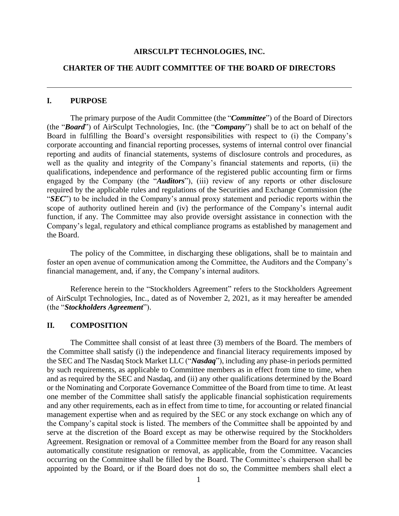#### **AIRSCULPT TECHNOLOGIES, INC.**

### **CHARTER OF THE AUDIT COMMITTEE OF THE BOARD OF DIRECTORS**

#### **I. PURPOSE**

The primary purpose of the Audit Committee (the "*Committee*") of the Board of Directors (the "*Board*") of AirSculpt Technologies, Inc. (the "*Company*") shall be to act on behalf of the Board in fulfilling the Board's oversight responsibilities with respect to (i) the Company's corporate accounting and financial reporting processes, systems of internal control over financial reporting and audits of financial statements, systems of disclosure controls and procedures, as well as the quality and integrity of the Company's financial statements and reports, (ii) the qualifications, independence and performance of the registered public accounting firm or firms engaged by the Company (the "*Auditors*"), (iii) review of any reports or other disclosure required by the applicable rules and regulations of the Securities and Exchange Commission (the "*SEC*") to be included in the Company's annual proxy statement and periodic reports within the scope of authority outlined herein and (iv) the performance of the Company's internal audit function, if any. The Committee may also provide oversight assistance in connection with the Company's legal, regulatory and ethical compliance programs as established by management and the Board.

The policy of the Committee, in discharging these obligations, shall be to maintain and foster an open avenue of communication among the Committee, the Auditors and the Company's financial management, and, if any, the Company's internal auditors.

Reference herein to the "Stockholders Agreement" refers to the Stockholders Agreement of AirSculpt Technologies, Inc., dated as of November 2, 2021, as it may hereafter be amended (the "*Stockholders Agreement*").

#### **II. COMPOSITION**

The Committee shall consist of at least three (3) members of the Board. The members of the Committee shall satisfy (i) the independence and financial literacy requirements imposed by the SEC and The Nasdaq Stock Market LLC ("*Nasdaq*"), including any phase-in periods permitted by such requirements, as applicable to Committee members as in effect from time to time, when and as required by the SEC and Nasdaq, and (ii) any other qualifications determined by the Board or the Nominating and Corporate Governance Committee of the Board from time to time. At least one member of the Committee shall satisfy the applicable financial sophistication requirements and any other requirements, each as in effect from time to time, for accounting or related financial management expertise when and as required by the SEC or any stock exchange on which any of the Company's capital stock is listed. The members of the Committee shall be appointed by and serve at the discretion of the Board except as may be otherwise required by the Stockholders Agreement. Resignation or removal of a Committee member from the Board for any reason shall automatically constitute resignation or removal, as applicable, from the Committee. Vacancies occurring on the Committee shall be filled by the Board. The Committee's chairperson shall be appointed by the Board, or if the Board does not do so, the Committee members shall elect a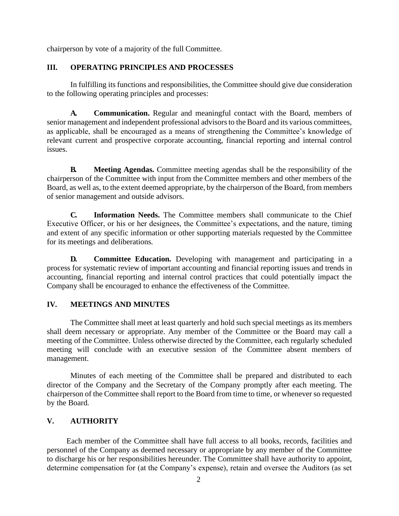chairperson by vote of a majority of the full Committee.

### **III. OPERATING PRINCIPLES AND PROCESSES**

In fulfilling its functions and responsibilities, the Committee should give due consideration to the following operating principles and processes:

**A. Communication.** Regular and meaningful contact with the Board, members of senior management and independent professional advisors to the Board and its various committees, as applicable, shall be encouraged as a means of strengthening the Committee's knowledge of relevant current and prospective corporate accounting, financial reporting and internal control issues.

**B. Meeting Agendas.** Committee meeting agendas shall be the responsibility of the chairperson of the Committee with input from the Committee members and other members of the Board, as well as, to the extent deemed appropriate, by the chairperson of the Board, from members of senior management and outside advisors.

**C. Information Needs.** The Committee members shall communicate to the Chief Executive Officer, or his or her designees, the Committee's expectations, and the nature, timing and extent of any specific information or other supporting materials requested by the Committee for its meetings and deliberations.

**D. Committee Education.** Developing with management and participating in a process for systematic review of important accounting and financial reporting issues and trends in accounting, financial reporting and internal control practices that could potentially impact the Company shall be encouraged to enhance the effectiveness of the Committee.

# **IV. MEETINGS AND MINUTES**

The Committee shall meet at least quarterly and hold such special meetings as its members shall deem necessary or appropriate. Any member of the Committee or the Board may call a meeting of the Committee. Unless otherwise directed by the Committee, each regularly scheduled meeting will conclude with an executive session of the Committee absent members of management.

Minutes of each meeting of the Committee shall be prepared and distributed to each director of the Company and the Secretary of the Company promptly after each meeting. The chairperson of the Committee shall report to the Board from time to time, or whenever so requested by the Board.

# **V. AUTHORITY**

Each member of the Committee shall have full access to all books, records, facilities and personnel of the Company as deemed necessary or appropriate by any member of the Committee to discharge his or her responsibilities hereunder. The Committee shall have authority to appoint, determine compensation for (at the Company's expense), retain and oversee the Auditors (as set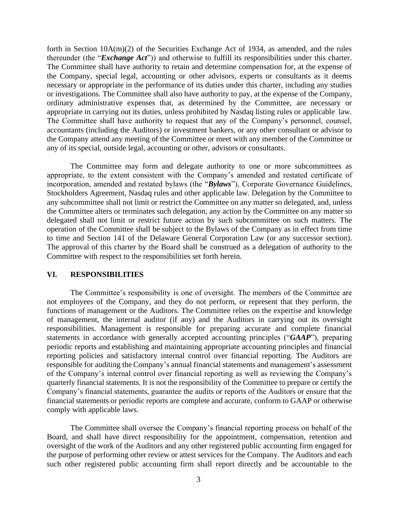forth in Section 10A(m)(2) of the Securities Exchange Act of 1934, as amended, and the rules thereunder (the "*Exchange Act*")) and otherwise to fulfill its responsibilities under this charter. The Committee shall have authority to retain and determine compensation for, at the expense of the Company, special legal, accounting or other advisors, experts or consultants as it deems necessary or appropriate in the performance of its duties under this charter, including any studies or investigations. The Committee shall also have authority to pay, at the expense of the Company, ordinary administrative expenses that, as determined by the Committee, are necessary or appropriate in carrying out its duties, unless prohibited by Nasdaq listing rules or applicable law. The Committee shall have authority to request that any of the Company's personnel, counsel, accountants (including the Auditors) or investment bankers, or any other consultant or advisor to the Company attend any meeting of the Committee or meet with any member of the Committee or any of its special, outside legal, accounting or other, advisors or consultants.

The Committee may form and delegate authority to one or more subcommittees as appropriate, to the extent consistent with the Company's amended and restated certificate of incorporation, amended and restated bylaws (the "*Bylaws*"), Corporate Governance Guidelines, Stockholders Agreement, Nasdaq rules and other applicable law. Delegation by the Committee to any subcommittee shall not limit or restrict the Committee on any matter so delegated, and, unless the Committee alters or terminates such delegation, any action by the Committee on any matter so delegated shall not limit or restrict future action by such subcommittee on such matters. The operation of the Committee shall be subject to the Bylaws of the Company as in effect from time to time and Section 141 of the Delaware General Corporation Law (or any successor section). The approval of this charter by the Board shall be construed as a delegation of authority to the Committee with respect to the responsibilities set forth herein.

#### **VI. RESPONSIBILITIES**

The Committee's responsibility is one of oversight. The members of the Committee are not employees of the Company, and they do not perform, or represent that they perform, the functions of management or the Auditors. The Committee relies on the expertise and knowledge of management, the internal auditor (if any) and the Auditors in carrying out its oversight responsibilities. Management is responsible for preparing accurate and complete financial statements in accordance with generally accepted accounting principles ("*GAAP*"), preparing periodic reports and establishing and maintaining appropriate accounting principles and financial reporting policies and satisfactory internal control over financial reporting. The Auditors are responsible for auditing the Company's annual financial statements and management's assessment of the Company's internal control over financial reporting as well as reviewing the Company's quarterly financial statements. It is not the responsibility of the Committee to prepare or certify the Company's financial statements, guarantee the audits or reports of the Auditors or ensure that the financial statements or periodic reports are complete and accurate, conform to GAAP or otherwise comply with applicable laws.

The Committee shall oversee the Company's financial reporting process on behalf of the Board, and shall have direct responsibility for the appointment, compensation, retention and oversight of the work of the Auditors and any other registered public accounting firm engaged for the purpose of performing other review or attest services for the Company. The Auditors and each such other registered public accounting firm shall report directly and be accountable to the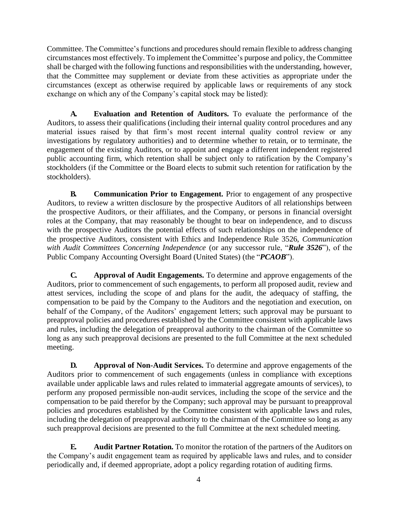Committee. The Committee's functions and procedures should remain flexible to address changing circumstances most effectively. To implement theCommittee's purpose and policy, the Committee shall be charged with the following functions and responsibilities with the understanding, however, that the Committee may supplement or deviate from these activities as appropriate under the circumstances (except as otherwise required by applicable laws or requirements of any stock exchange on which any of the Company's capital stock may be listed):

**A. Evaluation and Retention of Auditors.** To evaluate the performance of the Auditors, to assess their qualifications (including their internal quality control procedures and any material issues raised by that firm's most recent internal quality control review or any investigations by regulatory authorities) and to determine whether to retain, or to terminate, the engagement of the existing Auditors, or to appoint and engage a different independent registered public accounting firm, which retention shall be subject only to ratification by the Company's stockholders (if the Committee or the Board elects to submit such retention for ratification by the stockholders).

**B. Communication Prior to Engagement.** Prior to engagement of any prospective Auditors, to review a written disclosure by the prospective Auditors of all relationships between the prospective Auditors, or their affiliates, and the Company, or persons in financial oversight roles at the Company, that may reasonably be thought to bear on independence, and to discuss with the prospective Auditors the potential effects of such relationships on the independence of the prospective Auditors, consistent with Ethics and Independence Rule 3526, *Communication with Audit Committees Concerning Independence* (or any successor rule, "*Rule 3526*"), of the Public Company Accounting Oversight Board (United States) (the "*PCAOB*").

**C. Approval of Audit Engagements.** To determine and approve engagements of the Auditors, prior to commencement of such engagements, to perform all proposed audit, review and attest services, including the scope of and plans for the audit, the adequacy of staffing, the compensation to be paid by the Company to the Auditors and the negotiation and execution, on behalf of the Company, of the Auditors' engagement letters; such approval may be pursuant to preapproval policies and procedures established by the Committee consistent with applicable laws and rules, including the delegation of preapproval authority to the chairman of the Committee so long as any such preapproval decisions are presented to the full Committee at the next scheduled meeting.

**D. Approval of Non-Audit Services.** To determine and approve engagements of the Auditors prior to commencement of such engagements (unless in compliance with exceptions available under applicable laws and rules related to immaterial aggregate amounts of services), to perform any proposed permissible non-audit services, including the scope of the service and the compensation to be paid therefor by the Company; such approval may be pursuant to preapproval policies and procedures established by the Committee consistent with applicable laws and rules, including the delegation of preapproval authority to the chairman of the Committee so long as any such preapproval decisions are presented to the full Committee at the next scheduled meeting.

**E. Audit Partner Rotation.** To monitor the rotation of the partners of the Auditors on the Company's audit engagement team as required by applicable laws and rules, and to consider periodically and, if deemed appropriate, adopt a policy regarding rotation of auditing firms.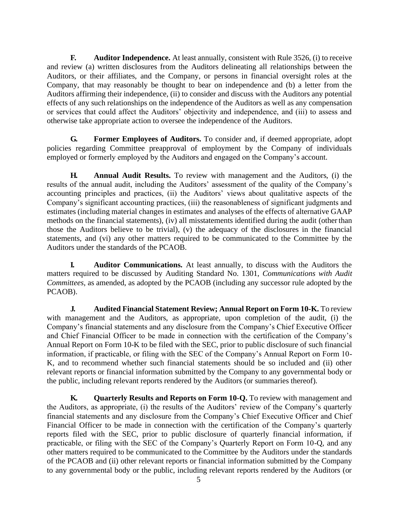**F. Auditor Independence.** At least annually, consistent with Rule 3526, (i) to receive and review (a) written disclosures from the Auditors delineating all relationships between the Auditors, or their affiliates, and the Company, or persons in financial oversight roles at the Company, that may reasonably be thought to bear on independence and (b) a letter from the Auditors affirming their independence, (ii) to consider and discuss with the Auditors any potential effects of any such relationships on the independence of the Auditors as well as any compensation or services that could affect the Auditors' objectivity and independence, and (iii) to assess and otherwise take appropriate action to oversee the independence of the Auditors.

**G. Former Employees of Auditors.** To consider and, if deemed appropriate, adopt policies regarding Committee preapproval of employment by the Company of individuals employed or formerly employed by the Auditors and engaged on the Company's account.

**H. Annual Audit Results.** To review with management and the Auditors, (i) the results of the annual audit, including the Auditors' assessment of the quality of the Company's accounting principles and practices, (ii) the Auditors' views about qualitative aspects of the Company's significant accounting practices, (iii) the reasonableness of significant judgments and estimates (including material changes in estimates and analyses of the effects of alternative GAAP methods on the financial statements), (iv) all misstatements identified during the audit (otherthan those the Auditors believe to be trivial), (v) the adequacy of the disclosures in the financial statements, and (vi) any other matters required to be communicated to the Committee by the Auditors under the standards of the PCAOB.

**I. Auditor Communications.** At least annually, to discuss with the Auditors the matters required to be discussed by Auditing Standard No. 1301, *Communications with Audit Committees*, as amended, as adopted by the PCAOB (including any successor rule adopted by the PCAOB).

**J. Audited Financial Statement Review; Annual Report on Form 10-K.** To review with management and the Auditors, as appropriate, upon completion of the audit, (i) the Company's financial statements and any disclosure from the Company's Chief Executive Officer and Chief Financial Officer to be made in connection with the certification of the Company's Annual Report on Form 10-K to be filed with the SEC, prior to public disclosure of such financial information, if practicable, or filing with the SEC of the Company's Annual Report on Form 10- K, and to recommend whether such financial statements should be so included and (ii) other relevant reports or financial information submitted by the Company to any governmental body or the public, including relevant reports rendered by the Auditors (or summaries thereof).

**K. Quarterly Results and Reports on Form 10-Q.** To review with management and the Auditors, as appropriate, (i) the results of the Auditors' review of the Company's quarterly financial statements and any disclosure from the Company's Chief Executive Officer and Chief Financial Officer to be made in connection with the certification of the Company's quarterly reports filed with the SEC, prior to public disclosure of quarterly financial information, if practicable, or filing with the SEC of the Company's Quarterly Report on Form 10-Q, and any other matters required to be communicated to the Committee by the Auditors under the standards of the PCAOB and (ii) other relevant reports or financial information submitted by the Company to any governmental body or the public, including relevant reports rendered by the Auditors (or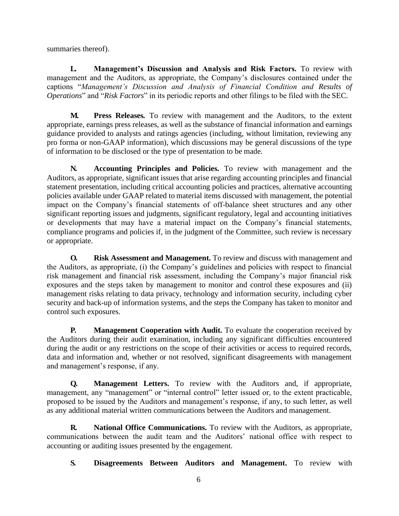summaries thereof).

**L. Management's Discussion and Analysis and Risk Factors.** To review with management and the Auditors, as appropriate, the Company's disclosures contained under the captions "*Management's Discussion and Analysis of Financial Condition and Results of Operations*" and "*Risk Factors*" in its periodic reports and other filings to be filed with the SEC.

**M. Press Releases***.* To review with management and the Auditors, to the extent appropriate, earnings press releases, as well as the substance of financial information and earnings guidance provided to analysts and ratings agencies (including, without limitation, reviewing any pro forma or non-GAAP information), which discussions may be general discussions of the type of information to be disclosed or the type of presentation to be made.

**N. Accounting Principles and Policies.** To review with management and the Auditors, as appropriate, significant issues that arise regarding accounting principles and financial statement presentation, including critical accounting policies and practices, alternative accounting policies available under GAAP related to material items discussed with management, the potential impact on the Company's financial statements of off-balance sheet structures and any other significant reporting issues and judgments, significant regulatory, legal and accounting initiatives or developments that may have a material impact on the Company's financial statements, compliance programs and policies if, in the judgment of the Committee, such review is necessary or appropriate.

**O. Risk Assessment and Management.** To review and discuss with management and the Auditors, as appropriate, (i) the Company's guidelines and policies with respect to financial risk management and financial risk assessment, including the Company's major financial risk exposures and the steps taken by management to monitor and control these exposures and (ii) management risks relating to data privacy, technology and information security, including cyber security and back-up of information systems, and the steps the Company has taken to monitor and control such exposures.

**P. Management Cooperation with Audit.** To evaluate the cooperation received by the Auditors during their audit examination, including any significant difficulties encountered during the audit or any restrictions on the scope of their activities or access to required records, data and information and, whether or not resolved, significant disagreements with management and management's response, if any.

**Q. Management Letters.** To review with the Auditors and, if appropriate, management, any "management" or "internal control" letter issued or, to the extent practicable, proposed to be issued by the Auditors and management's response, if any, to such letter, as well as any additional material written communications between the Auditors and management.

**R. National Office Communications.** To review with the Auditors, as appropriate, communications between the audit team and the Auditors' national office with respect to accounting or auditing issues presented by the engagement.

**S. Disagreements Between Auditors and Management.** To review with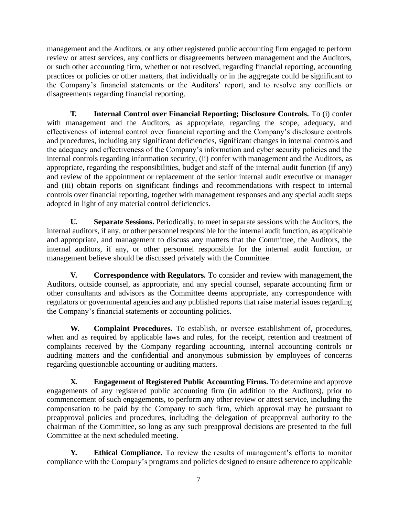management and the Auditors, or any other registered public accounting firm engaged to perform review or attest services, any conflicts or disagreements between management and the Auditors, or such other accounting firm, whether or not resolved, regarding financial reporting, accounting practices or policies or other matters, that individually or in the aggregate could be significant to the Company's financial statements or the Auditors' report, and to resolve any conflicts or disagreements regarding financial reporting.

**T. Internal Control over Financial Reporting; Disclosure Controls.** To (i) confer with management and the Auditors, as appropriate, regarding the scope, adequacy, and effectiveness of internal control over financial reporting and the Company's disclosure controls and procedures, including any significant deficiencies, significant changes in internal controls and the adequacy and effectiveness of the Company's information and cyber security policies and the internal controls regarding information security, (ii) confer with management and the Auditors, as appropriate, regarding the responsibilities, budget and staff of the internal audit function (if any) and review of the appointment or replacement of the senior internal audit executive or manager and (iii) obtain reports on significant findings and recommendations with respect to internal controls over financial reporting, together with management responses and any special audit steps adopted in light of any material control deficiencies.

**U. Separate Sessions.** Periodically, to meet in separate sessions with the Auditors, the internal auditors, if any, or other personnel responsible for the internal audit function, as applicable and appropriate, and management to discuss any matters that the Committee, the Auditors, the internal auditors, if any, or other personnel responsible for the internal audit function, or management believe should be discussed privately with the Committee.

**V. Correspondence with Regulators.** To consider and review with management, the Auditors, outside counsel, as appropriate, and any special counsel, separate accounting firm or other consultants and advisors as the Committee deems appropriate, any correspondence with regulators or governmental agencies and any published reports that raise material issues regarding the Company's financial statements or accounting policies.

**W. Complaint Procedures.** To establish, or oversee establishment of, procedures, when and as required by applicable laws and rules, for the receipt, retention and treatment of complaints received by the Company regarding accounting, internal accounting controls or auditing matters and the confidential and anonymous submission by employees of concerns regarding questionable accounting or auditing matters.

**X. Engagement of Registered Public Accounting Firms.** To determine and approve engagements of any registered public accounting firm (in addition to the Auditors), prior to commencement of such engagements, to perform any other review or attest service, including the compensation to be paid by the Company to such firm, which approval may be pursuant to preapproval policies and procedures, including the delegation of preapproval authority to the chairman of the Committee, so long as any such preapproval decisions are presented to the full Committee at the next scheduled meeting.

**Y. Ethical Compliance.** To review the results of management's efforts to monitor compliance with the Company's programs and policies designed to ensure adherence to applicable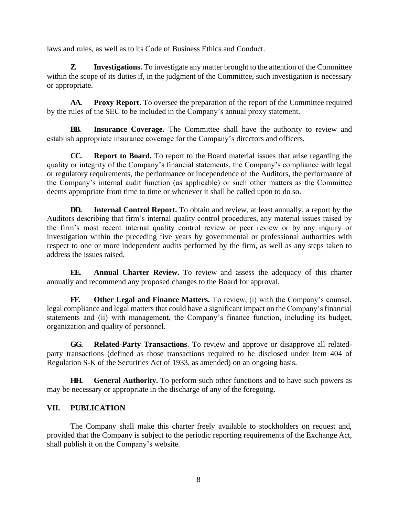laws and rules, as well as to its Code of Business Ethics and Conduct.

**Z. Investigations.** To investigate any matter brought to the attention of the Committee within the scope of its duties if, in the judgment of the Committee, such investigation is necessary or appropriate.

AA. **Proxy Report.** To oversee the preparation of the report of the Committee required by the rules of the SEC to be included in the Company's annual proxy statement.

**BB. Insurance Coverage.** The Committee shall have the authority to review and establish appropriate insurance coverage for the Company's directors and officers.

**CC. Report to Board.** To report to the Board material issues that arise regarding the quality or integrity of the Company's financial statements, the Company's compliance with legal or regulatory requirements, the performance or independence of the Auditors, the performance of the Company's internal audit function (as applicable) or such other matters as the Committee deems appropriate from time to time or whenever it shall be called upon to do so.

**DD. Internal Control Report.** To obtain and review, at least annually, a report by the Auditors describing that firm's internal quality control procedures, any material issues raised by the firm's most recent internal quality control review or peer review or by any inquiry or investigation within the preceding five years by governmental or professional authorities with respect to one or more independent audits performed by the firm, as well as any steps taken to address the issues raised.

**EE. Annual Charter Review.** To review and assess the adequacy of this charter annually and recommend any proposed changes to the Board for approval.

**FF. Other Legal and Finance Matters.** To review, (i) with the Company's counsel, legal compliance and legal matters that could have a significant impact on the Company's financial statements and (ii) with management, the Company's finance function, including its budget, organization and quality of personnel.

**GG. Related-Party Transactions**. To review and approve or disapprove all relatedparty transactions (defined as those transactions required to be disclosed under Item 404 of Regulation S-K of the Securities Act of 1933, as amended) on an ongoing basis.

**HH. General Authority.** To perform such other functions and to have such powers as may be necessary or appropriate in the discharge of any of the foregoing.

# **VII. PUBLICATION**

The Company shall make this charter freely available to stockholders on request and, provided that the Company is subject to the periodic reporting requirements of the Exchange Act, shall publish it on the Company's website.